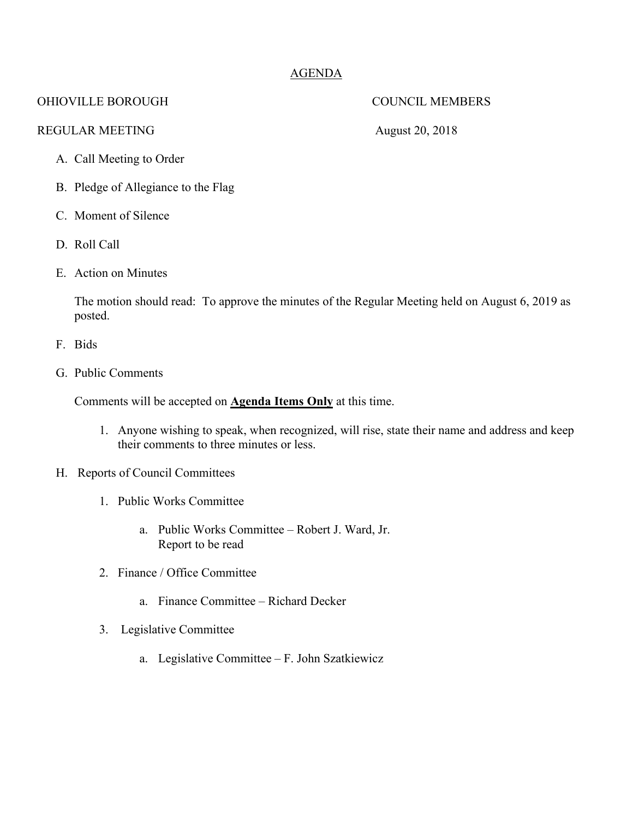## AGENDA

## OHIOVILLE BOROUGH COUNCIL MEMBERS

## REGULAR MEETING August 20, 2018

- A. Call Meeting to Order
- B. Pledge of Allegiance to the Flag
- C. Moment of Silence
- D. Roll Call
- E. Action on Minutes

The motion should read: To approve the minutes of the Regular Meeting held on August 6, 2019 as posted.

- F. Bids
- G. Public Comments

Comments will be accepted on **Agenda Items Only** at this time.

- 1. Anyone wishing to speak, when recognized, will rise, state their name and address and keep their comments to three minutes or less.
- H. Reports of Council Committees
	- 1. Public Works Committee
		- a. Public Works Committee Robert J. Ward, Jr. Report to be read
	- 2. Finance / Office Committee
		- a. Finance Committee Richard Decker
	- 3. Legislative Committee
		- a. Legislative Committee F. John Szatkiewicz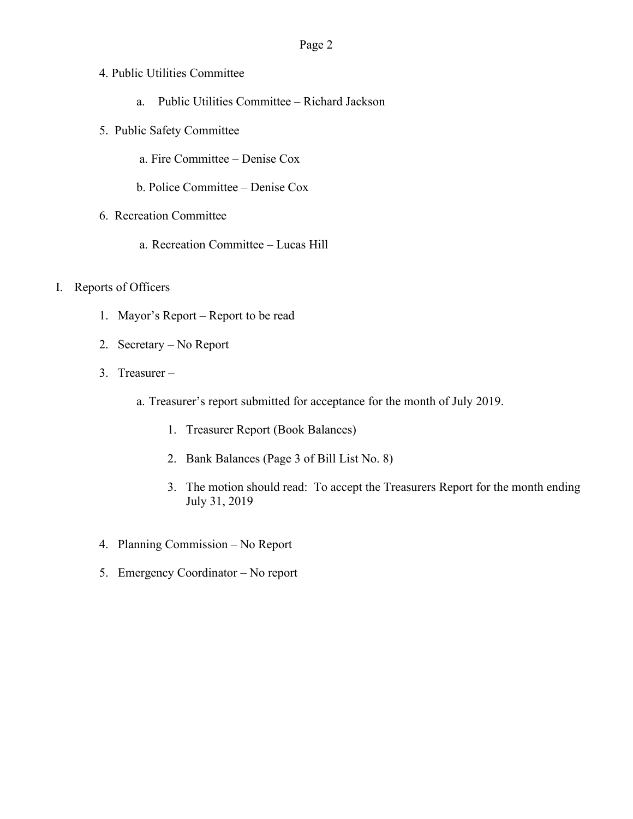- 4. Public Utilities Committee
	- a. Public Utilities Committee Richard Jackson
- 5. Public Safety Committee
	- a. Fire Committee Denise Cox
	- b. Police Committee Denise Cox
- 6. Recreation Committee
	- a. Recreation Committee Lucas Hill
- I. Reports of Officers
	- 1. Mayor's Report Report to be read
	- 2. Secretary No Report
	- 3. Treasurer
		- a. Treasurer's report submitted for acceptance for the month of July 2019.
			- 1. Treasurer Report (Book Balances)
			- 2. Bank Balances (Page 3 of Bill List No. 8)
			- 3. The motion should read: To accept the Treasurers Report for the month ending July 31, 2019
	- 4. Planning Commission No Report
	- 5. Emergency Coordinator No report